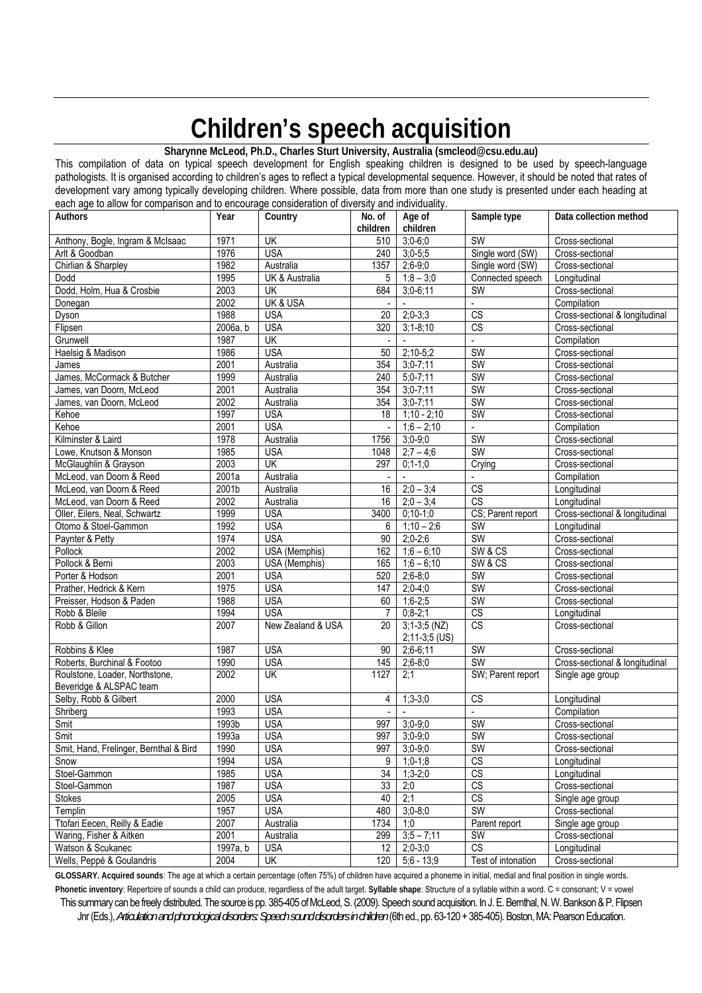# **Children's speech acquisition**

**Sharynne McLeod, Ph.D., Charles Sturt University, Australia (smcleod@csu.edu.au)**

This compilation of data on typical speech development for English speaking children is designed to be used by speech-language pathologists. It is organised according to children's ages to reflect a typical developmental sequence. However, it should be noted that rates of development vary among typically developing children. Where possible, data from more than one study is presented under each heading at each age to allow for comparison and to encourage consideration of diversity and individuality.

| $390$ to allow to comparison and<br>Authors | Year     | $\sim$ concidentation of any choicy and manualality.<br>Country | No. of          | Age of                           | Sample type            | Data collection method         |
|---------------------------------------------|----------|-----------------------------------------------------------------|-----------------|----------------------------------|------------------------|--------------------------------|
|                                             |          |                                                                 | children        | children                         |                        |                                |
| Anthony, Bogle, Ingram & McIsaac            | 1971     | UK                                                              | 510             | $3;0-6;0$                        | <b>SW</b>              | Cross-sectional                |
| Arlt & Goodban                              | 1976     | <b>USA</b>                                                      | 240             | $3:0-5:5$                        | Single word (SW)       | Cross-sectional                |
| Chirlian & Sharpley                         | 1982     | Australia                                                       | 1357            | $2,6-9,0$                        | Single word (SW)       | Cross-sectional                |
| Dodd                                        | 1995     | <b>UK &amp; Australia</b>                                       | 5               | $1;8 - 3;0$                      | Connected speech       | Longitudinal                   |
|                                             |          |                                                                 |                 |                                  |                        |                                |
| Dodd, Holm, Hua & Crosbie                   | 2003     | <b>UK</b>                                                       | 684             | $3,0-6,11$                       | SW                     | Cross-sectional                |
| Donegan                                     | 2002     | <b>UK &amp; USA</b>                                             |                 |                                  | $\mathbb{Z}^2$         | Compilation                    |
| Dyson                                       | 1988     | <b>USA</b>                                                      | 20              | $2;0-3;3$                        | $\overline{\text{CS}}$ | Cross-sectional & longitudinal |
| Flipsen                                     | 2006a, b | <b>USA</b>                                                      | 320             | $3,1 - 8,10$                     | $\overline{\text{CS}}$ | Cross-sectional                |
| Grunwell                                    | 1987     | UK                                                              |                 |                                  | L.                     | Compilation                    |
| Haelsig & Madison                           | 1986     | <b>USA</b>                                                      | 50              | $2;10-5;2$                       | SW                     | Cross-sectional                |
| James                                       | 2001     | Australia                                                       | 354             | $3,0 - 7,11$                     | SW                     | Cross-sectional                |
| James, McCormack & Butcher                  | 1999     | Australia                                                       | 240             | $5,0-7,11$                       | <b>SW</b>              | Cross-sectional                |
| James, van Doorn, McLeod                    | 2001     | Australia                                                       | 354             | $3;0-7;11$                       | <b>SW</b>              | Cross-sectional                |
| James, van Doorn, McLeod                    | 2002     | Australia                                                       | 354             | $3;0-7;11$                       | <b>SW</b>              | Cross-sectional                |
| Kehoe                                       | 1997     | <b>USA</b>                                                      | 18              | $1;10 - 2;10$                    | <b>SW</b>              | Cross-sectional                |
| Kehoe                                       | 2001     | <b>USA</b>                                                      | $\blacksquare$  | $1,6 - 2,10$                     | $\blacksquare$         | Compilation                    |
| Kilminster & Laird                          | 1978     | Australia                                                       | 1756            | $3,0-9,0$                        | <b>SW</b>              | Cross-sectional                |
| Lowe, Knutson & Monson                      | 1985     | <b>USA</b>                                                      | 1048            | $2:7 - 4:6$                      | <b>SW</b>              | Cross-sectional                |
| McGlaughlin & Grayson                       | 2003     | UK                                                              | 297             | $0; 1-1; 0$                      | Crying                 | Cross-sectional                |
| McLeod, van Doorn & Reed                    | 2001a    | Australia                                                       |                 | $\sim$                           | $\mathbf{r}$           | Compilation                    |
| McLeod, van Doorn & Reed                    | 2001b    | Australia                                                       | 16              | $2;0 - 3;4$                      | $\overline{\text{CS}}$ | Longitudinal                   |
|                                             | 2002     | Australia                                                       | 16              | $2:0 - 3:4$                      | $\overline{\text{CS}}$ |                                |
| McLeod, van Doorn & Reed                    |          |                                                                 |                 |                                  |                        | Longitudinal                   |
| Oller, Eilers, Neal, Schwartz               | 1999     | <b>USA</b>                                                      | 3400            | $0:10-1:0$                       | CS; Parent report      | Cross-sectional & longitudinal |
| Otomo & Stoel-Gammon                        | 1992     | <b>USA</b>                                                      | 6               | $1;10 - 2;6$                     | <b>SW</b>              | Longitudinal                   |
| Paynter & Petty                             | 1974     | <b>USA</b>                                                      | 90              | $2:0-2:6$                        | <b>SW</b>              | Cross-sectional                |
| Pollock                                     | 2002     | <b>USA</b> (Memphis)                                            | 162             | $1,6 - 6,10$                     | SW & CS                | Cross-sectional                |
| Pollock & Berni                             | 2003     | <b>USA</b> (Memphis)                                            | 165             | $1,6 - 6,10$                     | SW & CS                | Cross-sectional                |
| Porter & Hodson                             | 2001     | <b>USA</b>                                                      | 520             | $2;6-8;0$                        | <b>SW</b>              | Cross-sectional                |
| Prather, Hedrick & Kern                     | 1975     | <b>USA</b>                                                      | 147             | $2;0-4;0$                        | <b>SW</b>              | Cross-sectional                |
| Preisser, Hodson & Paden                    | 1988     | <b>USA</b>                                                      | 60              | $1,6-2,5$                        | <b>SW</b>              | Cross-sectional                |
| Robb & Bleile                               | 1994     | <b>USA</b>                                                      | 7               | $0;8-2;1$                        | $\overline{\text{CS}}$ | Longitudinal                   |
| Robb & Gillon                               | 2007     | New Zealand & USA                                               | 20              | $3;1-3;5(NZ)$<br>$2;11-3;5$ (US) | $\overline{\text{CS}}$ | Cross-sectional                |
| Robbins & Klee                              | 1987     | <b>USA</b>                                                      | 90              | $2;6-6;11$                       | <b>SW</b>              | Cross-sectional                |
| Roberts, Burchinal & Footoo                 | 1990     | <b>USA</b>                                                      | 145             | $2;6-8;0$                        | <b>SW</b>              | Cross-sectional & longitudinal |
| Roulstone, Loader, Northstone,              | 2002     | UK                                                              | 1127            | 2:1                              | SW; Parent report      | Single age group               |
| Beveridge & ALSPAC team                     |          |                                                                 |                 |                                  |                        |                                |
| Selby, Robb & Gilbert                       | 2000     | <b>USA</b>                                                      | 4               | $1;3-3;0$                        | $\overline{\text{CS}}$ | Longitudinal                   |
| Shriberg                                    | 1993     | <b>USA</b>                                                      |                 |                                  |                        | Compilation                    |
| Smit                                        | 1993b    | <b>USA</b>                                                      |                 | 997 3;0-9;0                      | SW                     | Cross-sectional                |
|                                             |          |                                                                 |                 | 997 3;0-9;0                      | SW                     |                                |
| Smit                                        | 1993a    | <b>USA</b>                                                      |                 |                                  |                        | Cross-sectional                |
| Smit, Hand, Frelinger, Bernthal & Bird      | 1990     | <b>USA</b>                                                      | 997             | $3;0-9;0$                        | <b>SW</b>              | Cross-sectional                |
| Snow                                        | 1994     | <b>USA</b>                                                      | 9               | $1,0-1,8$                        | $\overline{\text{CS}}$ | Longitudinal                   |
| Stoel-Gammon                                | 1985     | <b>USA</b>                                                      | $\overline{34}$ | $1,3-2,0$                        | CS                     | Longitudinal                   |
| Stoel-Gammon                                | 1987     | <b>USA</b>                                                      | 33              | 2;0                              | $\overline{\text{CS}}$ | Cross-sectional                |
| Stokes                                      | 2005     | <b>USA</b>                                                      | 40              | 2;1                              | CS                     | Single age group               |
| Templin                                     | 1957     | <b>USA</b>                                                      | 480             | $3;0-8;0$                        | <b>SW</b>              | Cross-sectional                |
| Ttofari Eecen, Reilly & Eadie               | 2007     | Australia                                                       | 1734            | 1;0                              | Parent report          | Single age group               |
| Waring, Fisher & Aitken                     | 2001     | Australia                                                       | 299             | $3;5 - 7;11$                     | SW                     | Cross-sectional                |
| Watson & Scukanec                           | 1997a, b | <b>USA</b>                                                      | 12              | $2;0-3;0$                        | CS                     | Longitudinal                   |
| Wells, Peppé & Goulandris                   | 2004     | UK                                                              | 120             | $\overline{5,6}$ - 13,9          | Test of intonation     | Cross-sectional                |

This summary can be freely distributed. The source is pp. 385-405 of McLeod, S. (2009). Speech sound acquisition. In J. E. Bemthal, N. W. Bankson & P. Flipsen **GLOSSARY. Acquired sounds**: The age at which a certain percentage (often 75%) of children have acquired a phoneme in initial, medial and final position in single words. **Phonetic inventory**: Repertoire of sounds a child can produce, regardless of the adult target. **Syllable shape**: Structure of a syllable within a word. C = consonant; V = vowel

Jnr (Eds.), *Articulation and phonological disorders: Speech sound disorders in children* (6th ed., pp. 63-120 + 385-405). Boston, MA: Pearson Education.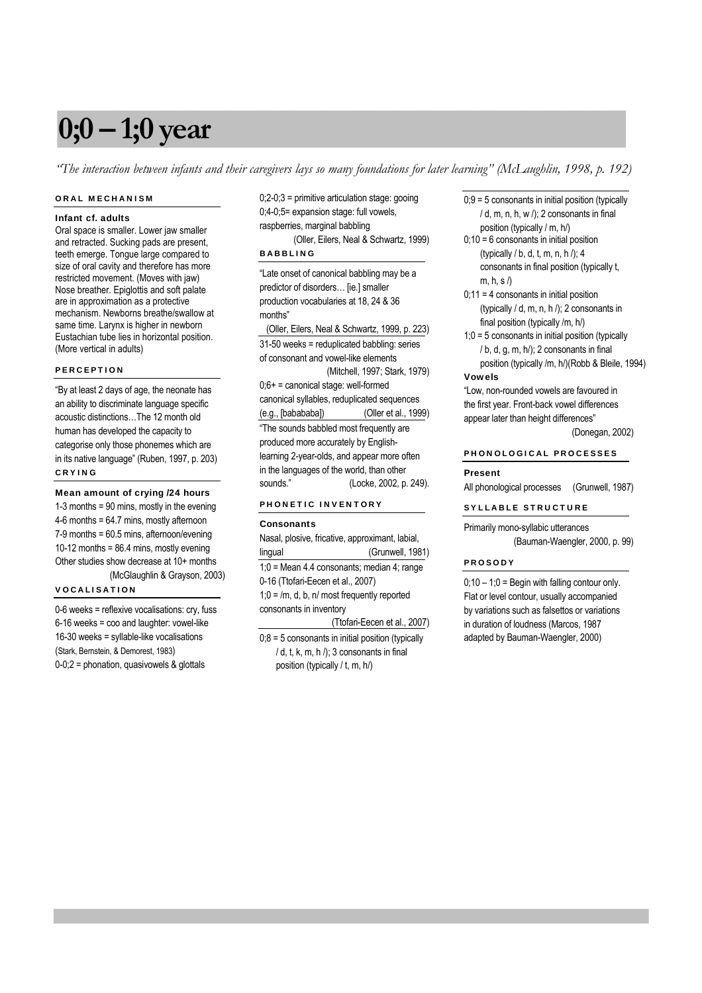# **0;0 – 1;0 year**

*"The interaction between infants and their caregivers lays so many foundations for later learning" (McLaughlin, 1998, p. 192)*

# ORAL MECHANISM

### Infant cf. adults

Oral space is smaller. Lower jaw smaller and retracted. Sucking pads are present, teeth emerge. Tongue large compared to size of oral cavity and therefore has more restricted movement. (Moves with jaw) Nose breather. Epiglottis and soft palate are in approximation as a protective mechanism. Newborns breathe/swallow at same time. Larynx is higher in newborn Eustachian tube lies in horizontal position. (More vertical in adults)

# PERCEPTION

"By at least 2 days of age, the neonate has an ability to discriminate language specific acoustic distinctions…The 12 month old human has developed the capacity to categorise only those phonemes which are in its native language" (Ruben, 1997, p. 203) CRYING

Mean amount of crying /24 hours 1-3 months = 90 mins, mostly in the evening 4-6 months = 64.7 mins, mostly afternoon 7-9 months = 60.5 mins, afternoon/evening 10-12 months = 86.4 mins, mostly evening Other studies show decrease at 10+ months (McGlaughlin & Grayson, 2003)

# VOCALISATION

0-6 weeks = reflexive vocalisations: cry, fuss 6-16 weeks = coo and laughter: vowel-like 16-30 weeks = syllable-like vocalisations (Stark, Bernstein, & Demorest, 1983) 0-0;2 = phonation, quasivowels & glottals

0;2-0;3 = primitive articulation stage: gooing 0;4-0;5= expansion stage: full vowels, raspberries, marginal babbling

 (Oller, Eilers, Neal & Schwartz, 1999) BABBLING

"Late onset of canonical babbling may be a predictor of disorders… [ie.] smaller production vocabularies at 18, 24 & 36 months"

 (Oller, Eilers, Neal & Schwartz, 1999, p. 223) 31-50 weeks = reduplicated babbling: series of consonant and vowel-like elements (Mitchell, 1997; Stark, 1979) 0;6+ = canonical stage: well-formed canonical syllables, reduplicated sequences (e.g., [babababa]) (Oller et al., 1999) "The sounds babbled most frequently are produced more accurately by Englishlearning 2-year-olds, and appear more often in the languages of the world, than other sounds." (Locke, 2002, p. 249).

# PHONETIC INVENTORY

#### **Consonants**

Nasal, plosive, fricative, approximant, labial, lingual (Grunwell, 1981) 1;0 = Mean 4.4 consonants; median 4; range 0-16 (Ttofari-Eecen et al., 2007)  $1;0 = /m$ , d, b, n/ most frequently reported consonants in inventory (Ttofari-Eecen et al., 2007)  $0;8 = 5$  consonants in initial position (typically

 $/ d$ , t, k, m, h $/$ ; 3 consonants in final position (typically / t, m, h/)

 $0;9 = 5$  consonants in initial position (typically  $/ d$ , m, n, h, w  $/$ ); 2 consonants in final position (typically / m, h/)

- $0;10 = 6$  consonants in initial position (typically / b, d, t, m, n, h /); 4 consonants in final position (typically t, m, h, s $\land$
- $0:11 = 4$  consonants in initial position (typically / d, m, n, h /); 2 consonants in final position (typically /m, h/)
- 1;0 = 5 consonants in initial position (typically / b, d, g, m, h/); 2 consonants in final position (typically /m, h/)(Robb & Bleile, 1994)

# Vowels

"Low, non-rounded vowels are favoured in the first year. Front-back vowel differences appear later than height differences"

(Donegan, 2002)

# PHONOLOGICAL PROCESSES

# Present

All phonological processes (Grunwell, 1987)

# SYLLABLE STRUCTURE

Primarily mono-syllabic utterances (Bauman-Waengler, 2000, p. 99)

# PROSODY

 $0;10 - 1;0 =$  Begin with falling contour only. Flat or level contour, usually accompanied by variations such as falsettos or variations in duration of loudness (Marcos, 1987 adapted by Bauman-Waengler, 2000)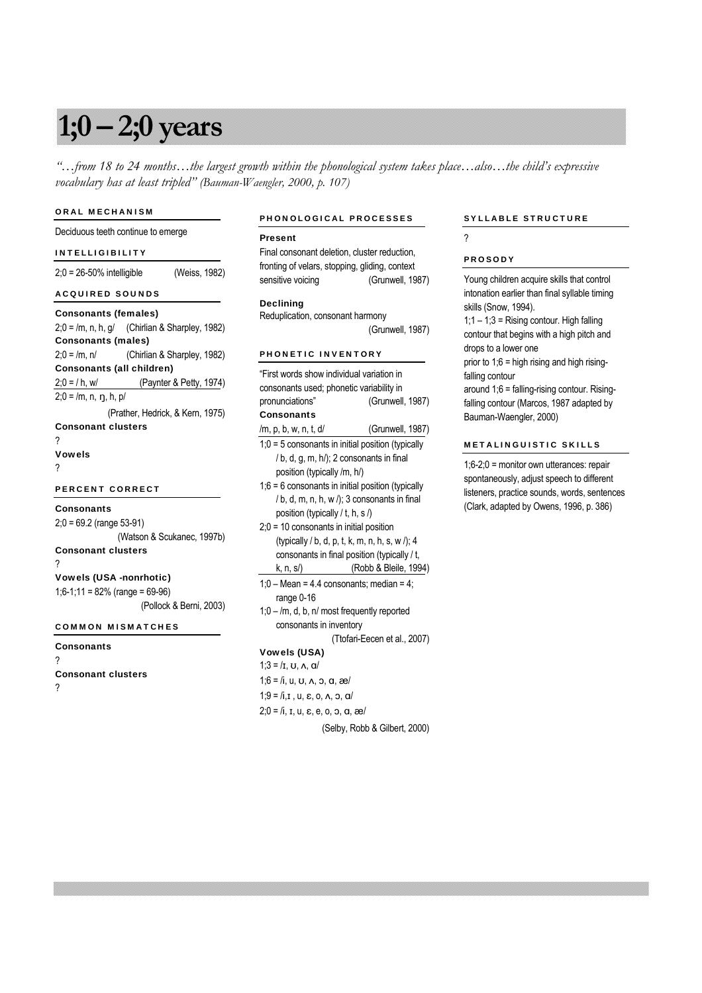# **1;0 – 2;0 years**

*"…from 18 to 24 months…the largest growth within the phonological system takes place…also…the child's expressive vocabulary has at least tripled" (Bauman-Waengler, 2000, p. 107)*

### ORAL MECHANISM

# Deciduous teeth continue to emerge

# INTELLIGIBILITY

2;0 = 26-50% intelligible (Weiss, 1982)

# ACQUIRED SOUNDS

| <b>Consonants (females)</b>      |                                                   |
|----------------------------------|---------------------------------------------------|
|                                  | $2;0 = /m$ , n, h, g/ (Chirlian & Sharpley, 1982) |
| <b>Consonants (males)</b>        |                                                   |
|                                  | $2;0 = /m, n/$ (Chirlian & Sharpley, 1982)        |
| Consonants (all children)        |                                                   |
|                                  | $2,0 = / h$ , w/ (Paynter & Petty, 1974)          |
| $2;0 = /m, n, n, h, p/$          |                                                   |
|                                  | (Prather, Hedrick, & Kern, 1975)                  |
| <b>Consonant clusters</b>        |                                                   |
| ?                                |                                                   |
| <b>Vowels</b>                    |                                                   |
| ?                                |                                                   |
| <b>PERCENT CORRECT</b>           |                                                   |
| <b>Consonants</b>                |                                                   |
| $2:0 = 69.2$ (range 53-91)       |                                                   |
|                                  | (Watson & Scukanec, 1997b)                        |
| <b>Consonant clusters</b>        |                                                   |
| ?                                |                                                   |
| <b>Vowels (USA -nonrhotic)</b>   |                                                   |
| $1;6-1;11 = 82%$ (range = 69-96) |                                                   |
|                                  | (Pollock & Berni, 2003)                           |
|                                  |                                                   |

# COMMON MISMATCHES

# **Consonants** ? Consonant clusters ?

#### PHONOLOGICAL PROCESSES

#### Present

Final consonant deletion, cluster reduction, fronting of velars, stopping, gliding, context sensitive voicing (Grunwell, 1987)

# **Declining**

Reduplication, consonant harmony (Grunwell, 1987)

# PHONETIC INVENTORY

| "First words show individual variation in               |                              |  |  |  |
|---------------------------------------------------------|------------------------------|--|--|--|
| consonants used; phonetic variability in                |                              |  |  |  |
| (Grunwell, 1987)<br>pronunciations"                     |                              |  |  |  |
| Consonants                                              |                              |  |  |  |
| /m, p, b, w, n, t, d/                                   | (Grunwell, 1987)             |  |  |  |
| $1,0 = 5$ consonants in initial position (typically     |                              |  |  |  |
| / b, d, g, m, h/); 2 consonants in final                |                              |  |  |  |
| position (typically /m, h/)                             |                              |  |  |  |
| $1,6 = 6$ consonants in initial position (typically     |                              |  |  |  |
| / b, d, m, n, h, w /); 3 consonants in final            |                              |  |  |  |
| position (typically / t, h, s /)                        |                              |  |  |  |
| $2,0 = 10$ consonants in initial position               |                              |  |  |  |
| (typically / b, d, p, t, k, m, n, h, s, w /); 4         |                              |  |  |  |
| consonants in final position (typically / t,            |                              |  |  |  |
| k, n, s/) (Robb & Bleile, 1994)                         |                              |  |  |  |
| $1:0$ – Mean = 4.4 consonants; median = 4;              |                              |  |  |  |
| range 0-16                                              |                              |  |  |  |
| $1,0 - m$ , d, b, n/ most frequently reported           |                              |  |  |  |
| consonants in inventory                                 |                              |  |  |  |
|                                                         | (Ttofari-Eecen et al., 2007) |  |  |  |
| <b>Vowels (USA)</b>                                     |                              |  |  |  |
| $1:3 = II, U, A, \alpha I$                              |                              |  |  |  |
| $1,6 = 7i$ , u, v, $\Lambda$ , o, a, $\frac{3.6}{1.6}$  |                              |  |  |  |
| $1,9 = I$ i, I, u, $\varepsilon$ , o, $\Lambda$ , o, a/ |                              |  |  |  |

 $2;0 = \sqrt{i}, i, u, \varepsilon, e, o, o, \alpha, \varepsilon$ 

(Selby, Robb & Gilbert, 2000)

# SYLLABLE STRUCTURE

?

#### PROSODY

| Young children acquire skills that control    |
|-----------------------------------------------|
| intonation earlier than final syllable timing |
| skills (Snow, 1994).                          |
| $1:1 - 1:3 =$ Rising contour. High falling    |
| contour that begins with a high pitch and     |
| drops to a lower one                          |
| prior to $1:6 =$ high rising and high rising- |
| falling contour                               |
| around 1;6 = falling-rising contour. Rising-  |
| falling contour (Marcos, 1987 adapted by      |
| Bauman-Waengler, 2000)                        |
|                                               |
| IETALINGUISTIC SKIL                           |
|                                               |

1;6-2;0 = monitor own utterances: repair spontaneously, adjust speech to different listeners, practice sounds, words, sentences (Clark, adapted by Owens, 1996, p. 386)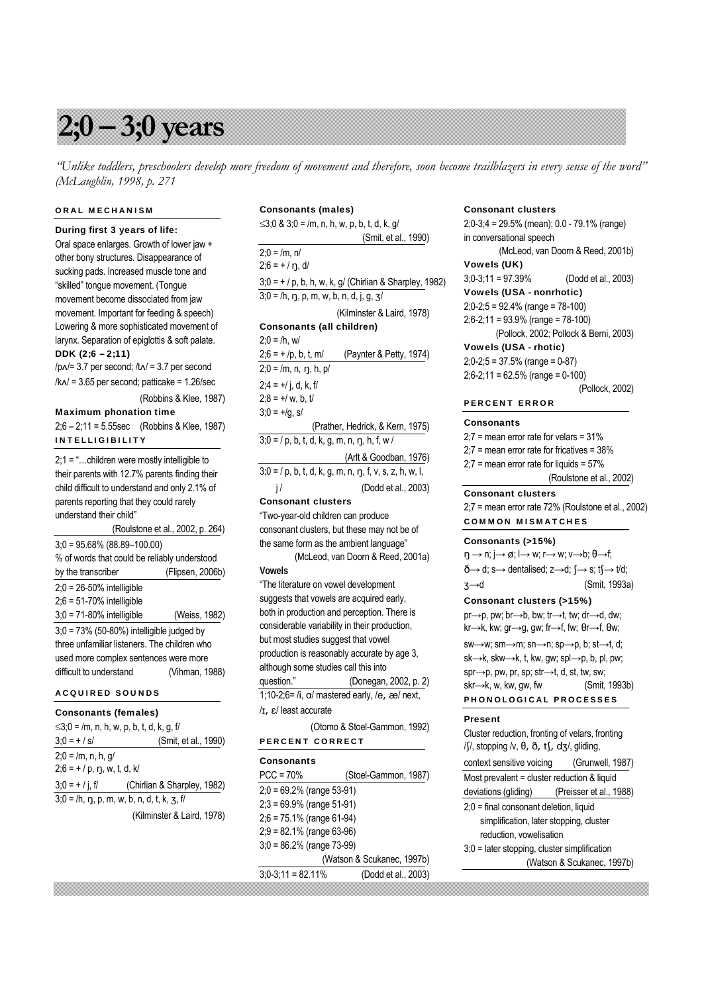# **2;0 – 3;0 years**

*"Unlike toddlers, preschoolers develop more freedom of movement and therefore, soon become trailblazers in every sense of the word" (McLaughlin, 1998, p. 271*

# ORAL MECHANISM

During first 3 years of life:

Oral space enlarges. Growth of lower jaw + other bony structures. Disappearance of sucking pads. Increased muscle tone and "skilled" tongue movement. (Tongue movement become dissociated from jaw movement. Important for feeding & speech) Lowering & more sophisticated movement of larynx. Separation of epiglottis & soft palate. DDK (2;6 – 2;11)

/p√/= 3.7 per second; /t√/ = 3.7 per second /k√/ = 3.65 per second; patticake = 1.26/sec

(Robbins & Klee, 1987)

Maximum phonation time 2;6 – 2;11 = 5.55sec (Robbins & Klee, 1987) INTELLIGIBILITY

2;1 = "…children were mostly intelligible to their parents with 12.7% parents finding their child difficult to understand and only 2.1% of parents reporting that they could rarely understand their child"

 (Roulstone et al., 2002, p. 264) 3;0 = 95.68% (88.89–100.00) % of words that could be reliably understood by the transcriber (Flipsen, 2006b) 2;0 = 26-50% intelligible 2;6 = 51-70% intelligible 3;0 = 71-80% intelligible (Weiss, 1982) 3;0 = 73% (50-80%) intelligible judged by three unfamiliar listeners. The children who used more complex sentences were more difficult to understand (Vihman, 1988)

# ACQUIRED SOUNDS

# Consonants (females)

| $\leq$ 3;0 = /m, n, h, w, p, b, t, d, k, g, f/        |                             |
|-------------------------------------------------------|-----------------------------|
| $3:0 = + / s/$                                        | (Smit, et al., 1990)        |
| $2:0 = /m, n, h, g/$<br>$2:6 = + / p$ , n, w, t, d, k |                             |
| $3:0 = +1$ i. f                                       | (Chirlian & Sharpley, 1982) |
| $3;0 = /h, \eta, p, m, w, b, n, d, t, k, z, f/$       |                             |
|                                                       | (Kilminster & Laird, 1978)  |

Consonants (males) ≤3;0 & 3;0 = /m, n, h, w, p, b, t, d, k, g/ (Smit, et al., 1990)  $2:0 = /m$ , n/  $2:6 = + / n$ , d/  $3;0 = + / p$ , b, h, w, k, g/ (Chirlian & Sharpley, 1982)  $3;0 = /h$ , n, p, m, w, b, n, d, j, g, 3/ (Kilminster & Laird, 1978) Consonants (all children)  $2;0 = /h, w/$  $2;6 = +/p, b, t, m/$  (Paynter & Petty, 1974)  $2;0 = /m, n, n, h, b/$  $2;4 = +1$ , d, k, f  $2:8 = +/ w, b, t/$  $3;0 = +/q$ , s/ (Prather, Hedrick, & Kern, 1975)  $3;0 = / p$ , b, t, d, k, g, m, n, n, h, f, w / (Arlt & Goodban, 1976)  $3;0 = / p$ , b, t, d, k, g, m, n, n, f, v, s, z, h, w, l, j / (Dodd et al., 2003) Consonant clusters "Two-year-old children can produce consonant clusters, but these may not be of the same form as the ambient language" (McLeod, van Doorn & Reed, 2001a) **Vowels**  "The literature on vowel development suggests that vowels are acquired early, both in production and perception. There is considerable variability in their production, but most studies suggest that vowel production is reasonably accurate by age 3, although some studies call this into question." (Donegan, 2002, p. 2) 1;10-2;6= /i,  $\alpha$ / mastered early, /e,  $\alpha$ / next, /I, E/ least accurate (Otomo & Stoel-Gammon, 1992) PERCENT CORRECT **Consonants** PCC = 70% (Stoel-Gammon, 1987) 2;0 = 69.2% (range 53-91) 2;3 = 69.9% (range 51-91)

2;6 = 75.1% (range 61-94) 2;9 = 82.1% (range 63-96) 3;0 = 86.2% (range 73-99) (Watson & Scukanec, 1997b) 3;0-3;11 = 82.11% (Dodd et al., 2003)

### Consonant clusters

2;0-3;4 = 29.5% (mean); 0.0 - 79.1% (range) in conversational speech (McLeod, van Doorn & Reed, 2001b) Vowels (UK) 3;0-3;11 = 97.39% (Dodd et al., 2003) Vowels (USA - nonrhotic) 2;0-2;5 = 92.4% (range = 78-100) 2;6-2;11 = 93.9% (range = 78-100) (Pollock, 2002; Pollock & Berni, 2003) Vowels (USA - rhotic) 2;0-2;5 = 37.5% (range = 0-87) 2;6-2;11 = 62.5% (range = 0-100)

(Pollock, 2002)

### PERCENT ERROR

#### **Consonants**

2;7 = mean error rate for velars = 31% 2;7 = mean error rate for fricatives = 38%  $2:7$  = mean error rate for liquids =  $57%$  (Roulstone et al., 2002) Consonant clusters 2;7 = mean error rate 72% (Roulstone et al., 2002)

# COMMON MISMATCHES

#### Consonants (>15%)

| $\eta \rightarrow \eta$ ; $\rightarrow \varnothing$ ; $\rightarrow$ W; $\eta \rightarrow$ W; $\upsilon \rightarrow$ b; $\theta \rightarrow$ f; |  |
|------------------------------------------------------------------------------------------------------------------------------------------------|--|
| $\delta \rightarrow d$ ; s $\rightarrow$ dentalised; z $\rightarrow$ d; { $\rightarrow$ s; t{ $\rightarrow$ t/d;                               |  |
| (Smit, 1993a)<br>$3 \rightarrow d$                                                                                                             |  |

# Consonant clusters (>15%)

pr→p, pw; br→b, bw; tr→t, tw; dr→d, dw;  $kr \rightarrow k$ , kw; gr $\rightarrow$ g, gw; fr $\rightarrow$ f, fw;  $\theta$ r $\rightarrow$ f,  $\theta$ w;

sw→w; sm→m; sn→n; sp→p, b; st→t, d; sk→k, skw→k, t, kw, gw; spl→p, b, pl, pw; spr→p, pw, pr, sp; str→t, d, st, tw, sw;  $skr \rightarrow k$ , w, kw, gw, fw (Smit, 1993b)

# PHONOLOGICAL PROCESSES

# Present

Cluster reduction, fronting of velars, fronting  $/\int$ , stopping /v,  $\theta$ ,  $\eth$ , t $\int$ , d $\frac{1}{2}$ , gliding, context sensitive voicing (Grunwell, 1987)

Most prevalent = cluster reduction & liquid

```
deviations (gliding) (Preisser et al., 1988)
```

```
2;0 = final consonant deletion, liquid 
simplification, later stopping, cluster 
reduction, vowelisation
```

```
3;0 = later stopping, cluster simplification 
              (Watson & Scukanec, 1997b)
```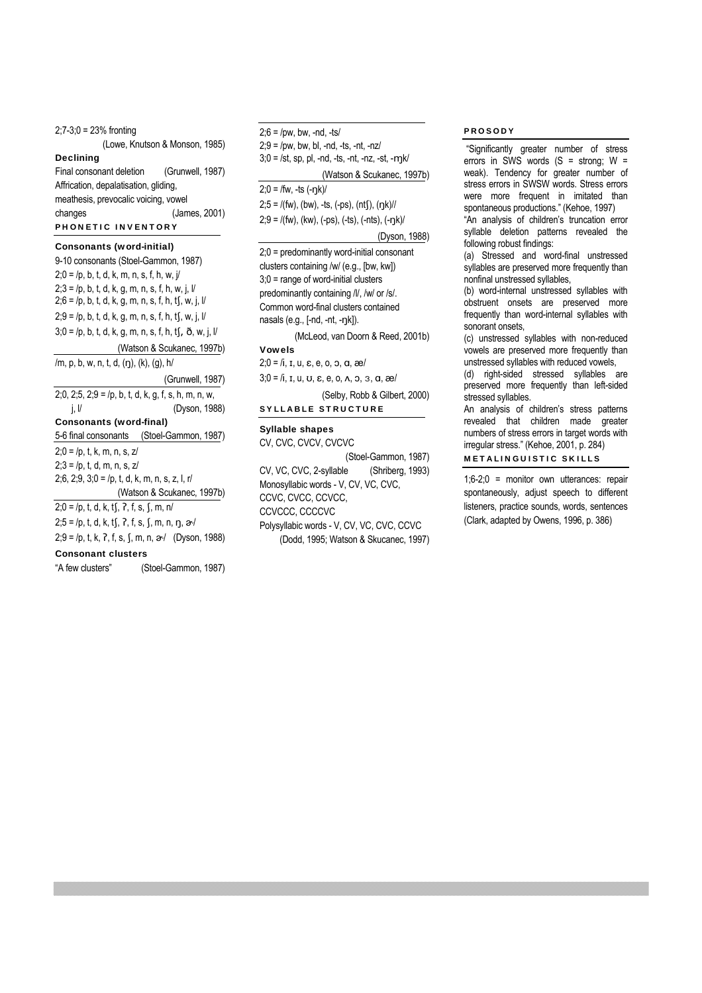2;7-3;0 = 23% fronting (Lowe, Knutson & Monson, 1985) Declining Final consonant deletion (Grunwell, 1987) Affrication, depalatisation, gliding, meathesis, prevocalic voicing, vowel changes (James, 2001) PHONETIC INVENTORY

### Consonants (word-initial)

9-10 consonants (Stoel-Gammon, 1987)  $2;0 = /p, b, t, d, k, m, n, s, f, h, w, j/$  $2:3 = /p, b, t, d, k, q, m, n, s, f, h, w, j, l/$  $2;6 = p, b, t, d, k, g, m, n, s, f, h, t$ , w, j, l/  $2;9 = /p, b, t, d, k, g, m, n, s, f, h, tf, w, j, l/$  $3;0 = p, b, t, d, k, g, m, n, s, f, h, t$ ,  $\delta, w, j, l$  (Watson & Scukanec, 1997b) /m, p, b, w, n, t, d, (ŋ), (k), (g), h/ (Grunwell, 1987) 2;0, 2;5, 2;9 = /p, b, t, d, k, g, f, s, h, m, n, w, j, l/ (Dyson, 1988) Consonants (word-final) 5-6 final consonants (Stoel-Gammon, 1987)  $2;0 = /p, t, k, m, n, s, z/$  $2;3 = /p, t, d, m, n, s, z/$ 2;6, 2;9, 3;0 = /p, t, d, k, m, n, s, z, l, r/ (Watson & Scukanec, 1997b)  $2;0 = /p$ , t, d, k, tf,  $, 1, 5, 5, 7, m, n/$  $2;5 = /p, t, d, k, tf, ?, f, s, f, m, n, \eta, \omega/$  $2;9 = /p, t, k, 7, f, s, f, m, n, \infty/$  (Dyson, 1988) Consonant clusters "A few clusters" (Stoel-Gammon, 1987)

 $2:9 =$  /pw, bw, bl, -nd, -ts, -nt, -nz/  $3;0 = /st$ , sp, pl, -nd, -ts, -nt, -nz, -st, -mk/ (Watson & Scukanec, 1997b)  $2:0 =$  /fw, -ts  $(-nk)$ /  $2;5 = \frac{\pi}{3}$ , (bw), -ts, (-ps), (nt $\frac{\pi}{3}$ , (nk)//  $2;9 = I$ (fw), (kw), (-ps), (-ts), (-nts), (-ŋk)/ (Dyson, 1988) 2;0 = predominantly word-initial consonant clusters containing /w/ (e.g., [bw, kw]) 3;0 = range of word-initial clusters predominantly containing /l/, /w/ or /s/. Common word-final clusters contained nasals (e.g., [-nd, -nt, -ŋk]). (McLeod, van Doorn & Reed, 2001b) Vowels  $2;0 = h$ ,  $I, u, \varepsilon, e, o, o, \alpha, \infty$  $3;0 = /i$ , I, U, U, E, e, O,  $\Lambda$ , O, 3, a, æ/ (Selby, Robb & Gilbert, 2000) SYLLABLE STRUCTURE Syllable shapes CV, CVC, CVCV, CVCVC (Stoel-Gammon, 1987)

 $2:6 =$  /pw, bw, -nd, -ts/

CV, VC, CVC, 2-syllable (Shriberg, 1993) Monosyllabic words - V, CV, VC, CVC, CCVC, CVCC, CCVCC, CCVCCC, CCCCVC Polysyllabic words - V, CV, VC, CVC, CCVC (Dodd, 1995; Watson & Skucanec, 1997)

# PROSODY

 "Significantly greater number of stress errors in SWS words  $(S =$  strong;  $W =$ weak). Tendency for greater number of stress errors in SWSW words. Stress errors were more frequent in imitated than spontaneous productions." (Kehoe, 1997)

"An analysis of children's truncation error syllable deletion patterns revealed the following robust findings:

(a) Stressed and word-final unstressed syllables are preserved more frequently than nonfinal unstressed syllables,

(b) word-internal unstressed syllables with obstruent onsets are preserved more frequently than word-internal syllables with sonorant onsets,

(c) unstressed syllables with non-reduced vowels are preserved more frequently than unstressed syllables with reduced vowels,

(d) right-sided stressed syllables are preserved more frequently than left-sided stressed syllables.

An analysis of children's stress patterns revealed that children made greater numbers of stress errors in target words with irregular stress." (Kehoe, 2001, p. 284)

# METALINGUISTIC SKILLS

1;6-2;0 = monitor own utterances: repair spontaneously, adjust speech to different listeners, practice sounds, words, sentences (Clark, adapted by Owens, 1996, p. 386)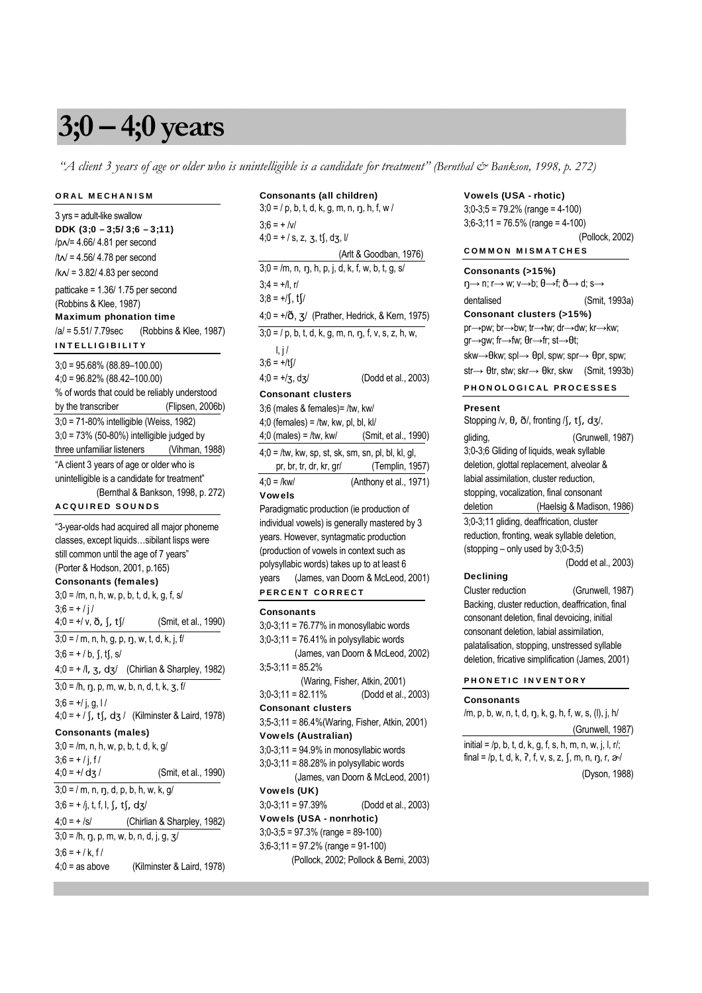# **3;0 – 4;0 years**

 *"A client 3 years of age or older who is unintelligible is a candidate for treatment" (Bernthal & Bankson, 1998, p. 272)*

Consonants (all children)

# ORAL MECHANISM

3 yrs = adult-like swallow DDK (3;0 – 3;5/ 3;6 – 3;11) /p√/= 4.66/ 4.81 per second /t√/ = 4.56/ 4.78 per second /k√/ = 3.82/ 4.83 per second patticake = 1.36/ 1.75 per second (Robbins & Klee, 1987) Maximum phonation time /a/ = 5.51/ 7.79sec (Robbins & Klee, 1987) INTELLIGIBILITY 3;0 = 95.68% (88.89–100.00) 4;0 = 96.82% (88.42–100.00) % of words that could be reliably understood by the transcriber (Flipsen, 2006b) 3;0 = 71-80% intelligible (Weiss, 1982) 3;0 = 73% (50-80%) intelligible judged by three unfamiliar listeners (Vihman, 1988) "A client 3 years of age or older who is unintelligible is a candidate for treatment" (Bernthal & Bankson, 1998, p. 272) ACQUIRED SOUNDS "3-year-olds had acquired all major phoneme classes, except liquids…sibilant lisps were still common until the age of 7 years" (Porter & Hodson, 2001, p.165) Consonants (females)  $3;0 = /m$ , n, h, w, p, b, t, d, k, g, f, s/  $3:6 = + / i /$  $4;0 = +/v, \delta, \int, t \frac{1}{3}$  (Smit, et al., 1990)  $3;0 = / m, n, h, g, p, \eta, w, t, d, k, j, f/$  $3:6 = + / b$ , f, tf, s/  $4;0 = +1, 3, d3/$  (Chirlian & Sharpley, 1982)  $3;0 = /h, \eta, p, m, w, b, n, d, t, k, z, f/$  $3;6 = +1j, g, 11$  $4;0 = + / \int$ , t $\int$ , d $3 / \int$  (Kilminster & Laird, 1978) Consonants (males) 3;0 = /m, n, h, w, p, b, t, d, k, g/  $3;6 = + / j, f/$  $4;0 = +/ \text{d}$  / (Smit, et al., 1990)

 $3;0; = / m, n, \eta, d, p, b, h, w, k, g/$  $3;6 = +1j$ , t, f, l, f, tf, dz/  $4:0 = +$  /s/ (Chirlian & Sharpley, 1982)  $3;0 = /h, \eta, p, m, w, b, n, d, j, g, \frac{3}{2}$  $3:6 = + / k$ , f/ 4;0 = as above (Kilminster & Laird, 1978)

# $3;0 = / p$ , b, t, d, k, g, m, n, ŋ, h, f, w /  $3:6 = + /v/$  $4;0 = + / s$ , z, z, ts, dz, l/ (Arlt & Goodban, 1976)  $3:0 = /m$ , n, n, h, p, i, d, k, f, w, b, t, g, s/  $3:4 = +1$ , r/  $3;8 = +/\int, \frac{t}{\sqrt{2}}$  $4;0 = +/\mathcal{O}$ ,  $3/$  (Prather, Hedrick, & Kern, 1975)  $3;0 = / p$ , b, t, d, k, g, m, n, n, f, v, s, z, h, w,  $l, j/$  $3;6 = +/t$  $4;0 = +7, d=7$  (Dodd et al., 2003) Consonant clusters 3;6 (males & females)= /tw, kw/  $4:0$  (females) = /tw, kw, pl, bl, kl/ 4;0 (males) = /tw, kw/ (Smit, et al., 1990)  $4;0 =$  /tw, kw, sp, st, sk, sm, sn, pl, bl, kl, gl, pr, br, tr, dr, kr, gr/ (Templin, 1957) 4;0 = /kw/ (Anthony et al., 1971) Vowels Paradigmatic production (ie production of individual vowels) is generally mastered by 3 years. However, syntagmatic production (production of vowels in context such as polysyllabic words) takes up to at least 6 years (James, van Doorn & McLeod, 2001) PERCENT CORRECT **Consonants** 3;0-3;11 = 76.77% in monosyllabic words  $3;0-3;11 = 76.41\%$  in polysyllabic words (James, van Doorn & McLeod, 2002)  $3;5-3;11 = 85.2%$  (Waring, Fisher, Atkin, 2001) 3;0-3;11 = 82.11% (Dodd et al., 2003)

Consonant clusters 3;5-3;11 = 86.4%(Waring, Fisher, Atkin, 2001) Vowels (Australian)  $3;0-3;11 = 94.9\%$  in monosyllabic words 3;0-3;11 = 88.28% in polysyllabic words (James, van Doorn & McLeod, 2001) Vowels (UK) 3;0-3;11 = 97.39% (Dodd et al., 2003) Vowels (USA - nonrhotic) 3;0-3;5 = 97.3% (range = 89-100) 3;6-3;11 = 97.2% (range = 91-100) (Pollock, 2002; Pollock & Berni, 2003)

#### Vowels (USA - rhotic)

3;0-3;5 = 79.2% (range = 4-100) 3;6-3;11 = 76.5% (range = 4-100) (Pollock, 2002) COMMON MISMATCHES

Consonants (>15%)  $\eta \rightarrow n$ ;  $r \rightarrow w$ ;  $v \rightarrow b$ ;  $\theta \rightarrow f$ ;  $\delta \rightarrow d$ ; s $\rightarrow$ dentalised (Smit, 1993a) Consonant clusters (>15%) pr→pw; br→bw; tr→tw; dr→dw; kr→kw;

gr→gw; fr→fw; θr→fr; st→θt; skw→ $\theta$ kw; spl→  $\theta$ pl, spw; spr→  $\theta$ pr, spw;  $str \rightarrow \theta tr$ , stw; skr $\rightarrow \theta kr$ , skw (Smit, 1993b)

PHONOLOGICAL PROCESSES

#### Present

Stopping /v,  $\theta$ ,  $\delta$ /, fronting /f, tf, dz/, gliding, (Grunwell, 1987) 3;0-3;6 Gliding of liquids, weak syllable deletion, glottal replacement, alveolar & labial assimilation, cluster reduction, stopping, vocalization, final consonant deletion (Haelsig & Madison, 1986) 3;0-3;11 gliding, deaffrication, cluster reduction, fronting, weak syllable deletion, (stopping – only used by 3;0-3;5) (Dodd et al., 2003)

# **Declining**

Cluster reduction (Grunwell, 1987) Backing, cluster reduction, deaffrication, final consonant deletion, final devoicing, initial consonant deletion, labial assimilation, palatalisation, stopping, unstressed syllable deletion, fricative simplification (James, 2001)

### PHONETIC INVENTORY

#### Consonants

/m, p, b, w, n, t, d, ŋ, k, g, h, f, w, s, (l), j, h/

 (Grunwell, 1987) initial =  $/p$ , b, t, d, k, g, f, s, h, m, n, w, j, l, r/; final = /p, t, d, k, ?, f, v, s, z,  $\int$ , m, n,  $\eta$ , r,  $\frac{\partial}{\partial x}$ 

(Dyson, 1988)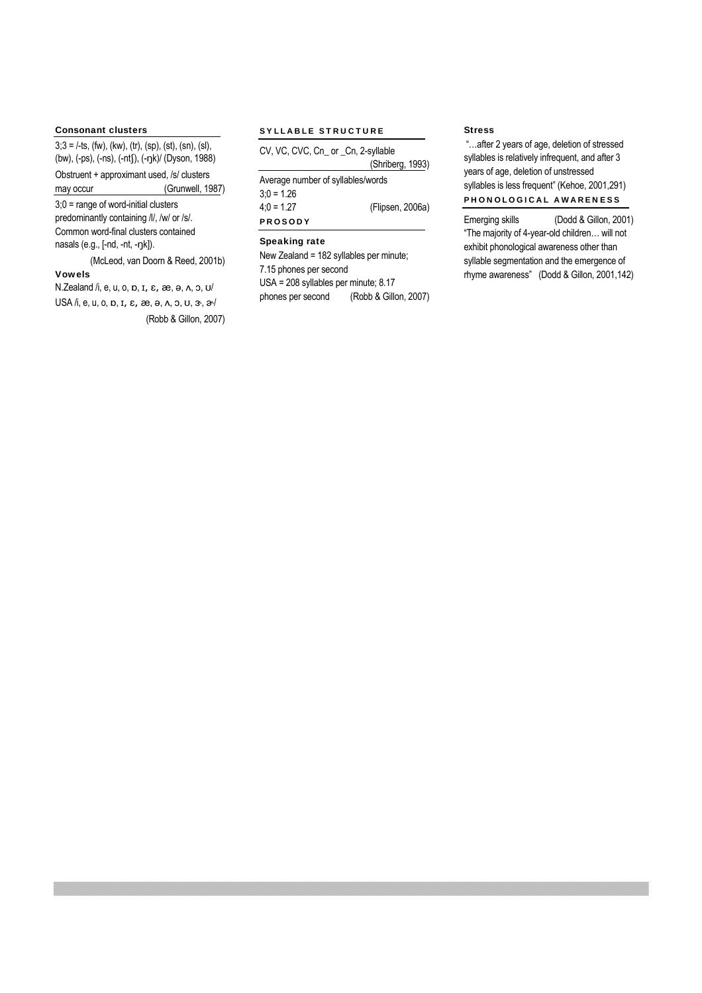# Consonant clusters

 $3;3 =$  /-ts, (fw), (kw), (tr), (sp), (st), (sn), (sl), (bw), (-ps), (-ns), (-ntʃ), (-ŋk)/ (Dyson, 1988)

Obstruent + approximant used, /s/ clusters may occur (Grunwell, 1987)

3;0 = range of word-initial clusters predominantly containing /l/, /w/ or /s/.

Common word-final clusters contained nasals (e.g., [-nd, -nt, -ŋk]).

(McLeod, van Doorn & Reed, 2001b)

# Vowels

N.Zealand  $/i$ , e, u, o,  $n$ ,  $n$ ,  $\varepsilon$ ,  $\infty$ ,  $\Theta$ ,  $\Lambda$ ,  $\Omega$ ,  $U$ USA /i, e, u, o,  $p$ ,  $I$ ,  $\varepsilon$ ,  $\infty$ ,  $\Theta$ ,  $\Lambda$ ,  $\Im$ ,  $U$ ,  $\Im$ ,  $\Im$ (Robb & Gillon, 2007)

# SYLLABLE STRUCTURE

| CV, VC, CVC, Cn_ or _Cn, 2-syllable |                  |  |  |
|-------------------------------------|------------------|--|--|
|                                     | (Shriberg, 1993) |  |  |
| Average number of syllables/words   |                  |  |  |
| $3:0 = 1.26$                        |                  |  |  |
| $4:0 = 1.27$                        | (Flipsen, 2006a) |  |  |
| <b>PROSODY</b>                      |                  |  |  |

# Speaking rate

New Zealand = 182 syllables per minute; 7.15 phones per second USA = 208 syllables per minute; 8.17 phones per second (Robb & Gillon, 2007)

# Stress

 "…after 2 years of age, deletion of stressed syllables is relatively infrequent, and after 3 years of age, deletion of unstressed syllables is less frequent" (Kehoe, 2001,291) PHONOLOGICAL AWARENESS

Emerging skills (Dodd & Gillon, 2001) "The majority of 4-year-old children… will not exhibit phonological awareness other than syllable segmentation and the emergence of rhyme awareness" (Dodd & Gillon, 2001,142)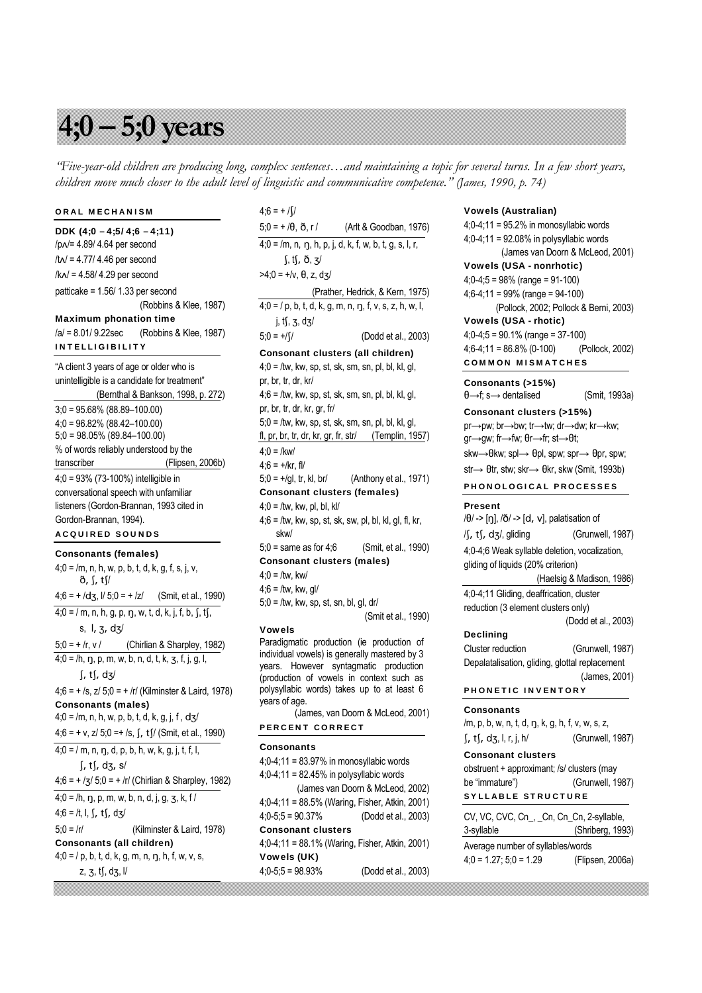# **4;0 – 5;0 years**

*"Five-year-old children are producing long, complex sentences…and maintaining a topic for several turns. In a few short years, children move much closer to the adult level of linguistic and communicative competence." (James, 1990, p. 74)*

# ORAL MECHANISM

DDK (4;0 – 4;5/ 4;6 – 4;11) /p√/= 4.89/ 4.64 per second /t√/ = 4.77/ 4.46 per second /k√/ = 4.58/ 4.29 per second patticake = 1.56/ 1.33 per second (Robbins & Klee, 1987) Maximum phonation time /a/ = 8.01/ 9.22sec (Robbins & Klee, 1987) INTELLIGIBILITY "A client 3 years of age or older who is unintelligible is a candidate for treatment" (Bernthal & Bankson, 1998, p. 272) 3;0 = 95.68% (88.89–100.00) 4;0 = 96.82% (88.42–100.00) 5;0 = 98.05% (89.84–100.00) % of words reliably understood by the transcriber (Flipsen, 2006b) 4;0 = 93% (73-100%) intelligible in conversational speech with unfamiliar

listeners (Gordon-Brannan, 1993 cited in Gordon-Brannan, 1994). ACQUIRED SOUNDS

#### Consonants (females)

 $4;0 = /m$ , n, h, w, p, b, t, d, k, g, f, s, j, v, ð, ſ, tſ/  $4;6 = + /d_3$ ,  $1/ 5;0 = + /z/$  (Smit, et al., 1990)  $4;0 = 7$  m, n, h, g, p, n, w, t, d, k, j, f, b, S, tS, s,  $l, z, dz$  $5;0 = +/r$ , v / (Chirlian & Sharpley, 1982)  $4;0 = /h, \eta, p, m, w, b, n, d, t, k, z, f, j, g, l,$  $\int$ , t $\int$ , d $\frac{1}{3}$ /  $4;6 = +1$ ,  $5;21$   $5;0 = +1$  (Kilminster & Laird, 1978) Consonants (males)  $4;0 = /m$ , n, h, w, p, b, t, d, k, g, j, f, dz/  $4;6 = +v$ ,  $z/5;0 = +/s$ ,  $\int$ ,  $tf/$  (Smit, et al., 1990)  $4;0 = / m$ , n, n, d, p, b, h, w, k, g, j, t, f, l,  $\int f$ , t $\int$ , dz, s/  $4;6 = +7/5$ ,  $6 = +7/5$  (Chirlian & Sharpley, 1982)  $4;0 = /h, \eta, p, m, w, b, n, d, i, q, z, k, f/$  $4;6 = /t, l, \int, t \int, d3$ 5;0 = /r/ (Kilminster & Laird, 1978) Consonants (all children)  $4;0 = / p$ , b, t, d, k, g, m, n, ŋ, h, f, w, v, s,

 $z, z, tf, dg, V$ 

# $4;6 = +/\sqrt{ }$

 $5;0 = +/0, \delta, r /$  (Arlt & Goodban, 1976)  $4;0 = /m, n, n, h, p, j, d, k, f, w, b, t, q, s, l, r,$  $\int$ , t $\int$ ,  $\delta$ ,  $\frac{1}{3}$  $>4$ ; $0 = +/v$ ,  $\theta$ , z, dz/ (Prather, Hedrick, & Kern, 1975)  $4;0 = 7$  p, b, t, d, k, g, m, n, n, f, v, s, z, h, w, l, i,  $t$ f, z, dz/  $5;0 = +\frac{1}{3}$  (Dodd et al., 2003) Consonant clusters (all children)  $4;0 =$  /tw, kw, sp, st, sk, sm, sn, pl, bl, kl, gl, pr, br, tr, dr, kr/  $4;6 =$  /tw, kw, sp, st, sk, sm, sn, pl, bl, kl, gl, pr, br, tr, dr, kr, gr, fr/  $5;0 =$  /tw, kw, sp, st, sk, sm, sn, pl, bl, kl, gl, fl, pr, br, tr, dr, kr, gr, fr, str/ (Templin, 1957)  $4:0 =$ /kw/  $4:6 = +/kr, 11/$  $5;0 = +/gl$ , tr, kl, br/ (Anthony et al., 1971) Consonant clusters (females)  $4;0 =$ /tw, kw, pl, bl, kl/  $4;6 =$  /tw, kw, sp, st, sk, sw, pl, bl, kl, gl, fl, kr, skw/ 5;0 = same as for 4;6 (Smit, et al., 1990) Consonant clusters (males)  $4;0 =$ /tw, kw/  $4;6 =$ /tw, kw, gl/

 $5;0 =$ /tw, kw, sp, st, sn, bl, gl, dr/ (Smit et al., 1990)

#### Vowels

Paradigmatic production (ie production of individual vowels) is generally mastered by 3 years. However syntagmatic production (production of vowels in context such as polysyllabic words) takes up to at least 6 years of age.

 (James, van Doorn & McLeod, 2001) PERCENT CORRECT

# **Consonants** 4;0-4;11 = 83.97% in monosyllabic words

 $4:0-4:11 = 82.45\%$  in polysyllabic words (James van Doorn & McLeod, 2002) 4;0-4;11 = 88.5% (Waring, Fisher, Atkin, 2001) 4;0-5;5 = 90.37% (Dodd et al., 2003) Consonant clusters 4;0-4;11 = 88.1% (Waring, Fisher, Atkin, 2001) Vowels (UK) 4;0-5;5 = 98.93% (Dodd et al., 2003)

#### Vowels (Australian)

4;0-4;11 = 95.2% in monosyllabic words 4;0-4;11 = 92.08% in polysyllabic words (James van Doorn & McLeod, 2001) Vowels (USA - nonrhotic) 4;0-4;5 = 98% (range = 91-100) 4;6-4;11 = 99% (range = 94-100) (Pollock, 2002; Pollock & Berni, 2003) Vowels (USA - rhotic) 4;0-4;5 = 90.1% (range = 37-100) 4;6-4;11 = 86.8% (0-100) (Pollock, 2002)

# COMMON MISMATCHES

Consonants (>15%)

 $\theta \rightarrow f$ : s $\rightarrow$  dentalised (Smit, 1993a)

# Consonant clusters (>15%)

pr→pw; br→bw; tr→tw; dr→dw; kr→kw; gr→gw; fr→fw; θr→fr; st→θt; skw $\rightarrow$ Okw; spl $\rightarrow$  Opl, spw; spr $\rightarrow$  Opr, spw; str→  $\theta$ tr, stw; skr→  $\theta$ kr, skw (Smit, 1993b)

PHONOLOGICAL PROCESSES

#### Present

 $/\theta$  -> [ŋ],  $/\eth$  -> [d, v], palatisation of  $\int$ , t $\int$ , d $\int$ , gliding (Grunwell, 1987) 4;0-4;6 Weak syllable deletion, vocalization, gliding of liquids (20% criterion) (Haelsig & Madison, 1986)

4;0-4;11 Gliding, deaffrication, cluster reduction (3 element clusters only)

(Dodd et al., 2003)

# Declining

Cluster reduction (Grunwell, 1987) Depalatalisation, gliding, glottal replacement (James, 2001)

# PHONETIC INVENTORY

#### **Consonants**

/m, p, b, w, n, t, d, ŋ, k, g, h, f, v, w, s, z,  $\int$ , t $\int$ , d $\int$ , l, r, j, h/ (Grunwell, 1987)

#### Consonant clusters

obstruent + approximant; /s/ clusters (may be "immature") (Grunwell, 1987) SYLLABLE STRUCTURE

CV, VC, CVC, Cn\_, \_Cn, Cn\_Cn, 2-syllable, 3-syllable (Shriberg, 1993) Average number of syllables/words 4;0 = 1.27; 5;0 = 1.29 (Flipsen, 2006a)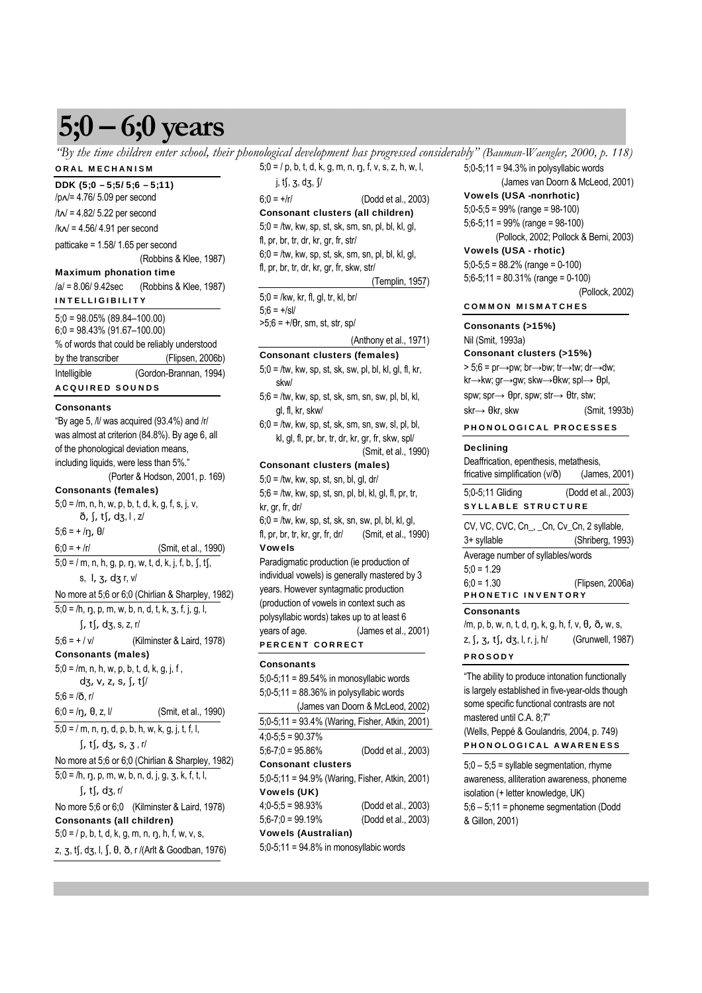# **5;0 – 6;0 years**

*"By the time children enter school, their phonological development has progressed considerably" (Bauman-Waengler, 2000, p. 118)* ORAL MECHANISM  $5;0 = 7$  p, b, t, d, k, g, m, n, n, f, v, s, z, h, w, l,

# DDK (5;0 – 5;5/ 5;6 – 5;11)

/p√/= 4.76/ 5.09 per second /t√/ = 4.82/ 5.22 per second /k√/ = 4.56/ 4.91 per second patticake = 1.58/ 1.65 per second (Robbins & Klee, 1987) Maximum phonation time /a/ = 8.06/ 9.42sec (Robbins & Klee, 1987) INTELLIGIBILITY  $5:0 = 98.05\%$  (89.84–100.00) 6;0 = 98.43% (91.67–100.00) % of words that could be reliably understood by the transcriber (Flipsen, 2006b) Intelligible (Gordon-Brannan, 1994) ACQUIRED SOUNDS **Consonants** "By age 5, /l/ was acquired (93.4%) and /r/ was almost at criterion (84.8%). By age 6, all of the phonological deviation means, including liquids, were less than 5%." (Porter & Hodson, 2001, p. 169) Consonants (females)  $5;0 = /m$ , n, h, w, p, b, t, d, k, g, f, s, j, v,  $\delta$ ,  $\int$ ,  $t\int$ ,  $d\zeta$ ,  $l$ ,  $z/$  $5;6 = +/\eta, \theta/$  $6;0 = + /r/$  (Smit, et al., 1990)  $5:0 = / m$ , n, h, g, p, n, w, t, d, k, i, f, b, f, tf, s,  $1, 3, 4, 5, 7, 7$ No more at 5;6 or 6;0 (Chirlian & Sharpley, 1982)  $5;0 = /h$ , n, p, m, w, b, n, d, t, k, z, f, j, g, l,  $\int$ , t $\int$ , d $\int$ , s, z, r/ 5;6 = + / v/ (Kilminster & Laird, 1978) Consonants (males)  $5;0 = /m$ , n, h, w, p, b, t, d, k, g, j, f,  $d\zeta$ , v, z, s,  $\int$ , t $\int$  $5:6 = / \delta$ , r/  $6;0 = /n$ ,  $\theta$ ,  $z$ ,  $l$  (Smit, et al., 1990)  $5;0 = / m, n, \eta, d, p, b, h, w, k, g, j, t, f, l,$  $\int$ , t $\int$ , dz, s, z, r/ No more at 5;6 or 6;0 (Chirlian & Sharpley, 1982)  $5;0 = /h, \eta, p, m, w, b, n, d, j, g, z, k, f, t, l,$  $\int, t \int, d3, r$ No more 5;6 or 6;0 (Kilminster & Laird, 1978) Consonants (all children)  $5;0 = / p$ , b, t, d, k, g, m, n, ŋ, h, f, w, v, s, z, z, tf, dz, l, f,  $\theta$ ,  $\delta$ , r /(Arlt & Goodban, 1976)

 $i, tf, z, dz, V$  $6:0 = +/r/$  (Dodd et al., 2003) Consonant clusters (all children)  $5;0 =$ /tw, kw, sp, st, sk, sm, sn, pl, bl, kl, gl, fl, pr, br, tr, dr, kr, gr, fr, str/  $6:0 =$ /tw, kw, sp, st, sk, sm, sn, pl, bl, kl, ql, fl, pr, br, tr, dr, kr, gr, fr, skw, str/ (Templin, 1957) 5;0 = /kw, kr, fl, gl, tr, kl, br/  $5:6 = +|s|/$  $>5;6 = +/0r$ , sm, st, str, sp/ (Anthony et al., 1971) Consonant clusters (females) 5;0 = /tw, kw, sp, st, sk, sw, pl, bl, kl, gl, fl, kr, skw/  $5:6 =$  /tw, kw, sp, st, sk, sm, sn, sw, pl, bl, kl, gl, fl, kr, skw/  $6:0 =$  /tw, kw, sp, st, sk, sm, sn, sw, sl, pl, bl, kl, gl, fl, pr, br, tr, dr, kr, gr, fr, skw, spl/ (Smit, et al., 1990) Consonant clusters (males)  $5;0 =$ /tw, kw, sp, st, sn, bl, gl, dr/  $5;6 =$  /tw, kw, sp, st, sn, pl, bl, kl, gl, fl, pr, tr, kr, gr, fr, dr/  $6;0 =$ /tw, kw, sp, st, sk, sn, sw, pl, bl, kl, gl, fl, pr, br, tr, kr, gr, fr, dr/ (Smit, et al., 1990) Vowels Paradigmatic production (ie production of individual vowels) is generally mastered by 3 years. However syntagmatic production (production of vowels in context such as polysyllabic words) takes up to at least 6 years of age. (James et al., 2001) PERCENT CORRECT **Consonants** 5;0-5;11 = 89.54% in monosyllabic words 5;0-5;11 = 88.36% in polysyllabic words (James van Doorn & McLeod, 2002) 5;0-5;11 = 93.4% (Waring, Fisher, Atkin, 2001)  $4;0-5;5=90.37%$ 5;6-7;0 = 95.86% (Dodd et al., 2003) Consonant clusters 5;0-5;11 = 94.9% (Waring, Fisher, Atkin, 2001) Vowels (UK)

4;0-5;5 = 98.93% (Dodd et al., 2003) 5;6-7;0 = 99.19% (Dodd et al., 2003) Vowels (Australian)

5;0-5;11 = 94.8% in monosyllabic words

 $5:0-5:11 = 94.3\%$  in polysyllabic words

(James van Doorn & McLeod, 2001)

Vowels (USA -nonrhotic) 5;0-5;5 = 99% (range = 98-100)

5;6-5;11 = 99% (range = 98-100) (Pollock, 2002; Pollock & Berni, 2003)

Vowels (USA - rhotic)

# 5;0-5;5 = 88.2% (range = 0-100)

5;6-5;11 = 80.31% (range = 0-100)

(Pollock, 2002)

# COMMON MISMATCHES

Consonants (>15%) Nil (Smit, 1993a) Consonant clusters (>15%)

 $> 5;6 = pr \rightarrow pw$ ; br $\rightarrow$ bw; tr $\rightarrow$ tw; dr $\rightarrow$ dw;

kr→kw; gr→gw; skw→θkw; spl→ θpl,

spw; spr→ θpr, spw; str→ θtr, stw;

 $skr \rightarrow \theta kr$ . skw (Smit, 1993b)

#### PHONOLOGICAL PROCESSES

#### Declining

Deaffrication, epenthesis, metathesis, fricative simplification (v/ $\delta$ ) (James, 2001)

5;0-5;11 Gliding (Dodd et al., 2003) SYLLABLE STRUCTURE

| CV, VC, CVC, Cn <sub>, Cn</sub> , Cv <sub>, Cn</sub> , 2 syllable, |  |  |
|--------------------------------------------------------------------|--|--|
|                                                                    |  |  |

3+ syllable (Shriberg, 1993)

Average number of syllables/words

 $5;0 = 1.29$ 

6;0 = 1.30 (Flipsen, 2006a) PHONETIC INVENTORY

# **Consonants**

/m, p, b, w, n, t, d, ŋ, k, g, h, f, v, θ, ð, w, s, z,  $\int$ ,  $\frac{1}{3}$ ,  $\frac{1}{1}$ ,  $\frac{1}{3}$ ,  $\frac{1}{1}$ ,  $\frac{1}{1}$ ,  $\frac{1}{1}$ ,  $\frac{1}{1}$  (Grunwell, 1987) PROSODY

"The ability to produce intonation functionally is largely established in five-year-olds though some specific functional contrasts are not mastered until C.A. 8;7" (Wells, Peppé & Goulandris, 2004, p. 749) PHONOLOGICAL AWARENESS

 $5;0 - 5;5 =$  syllable segmentation, rhyme awareness, alliteration awareness, phoneme isolation (+ letter knowledge, UK) 5;6 – 5;11 = phoneme segmentation (Dodd & Gillon, 2001)